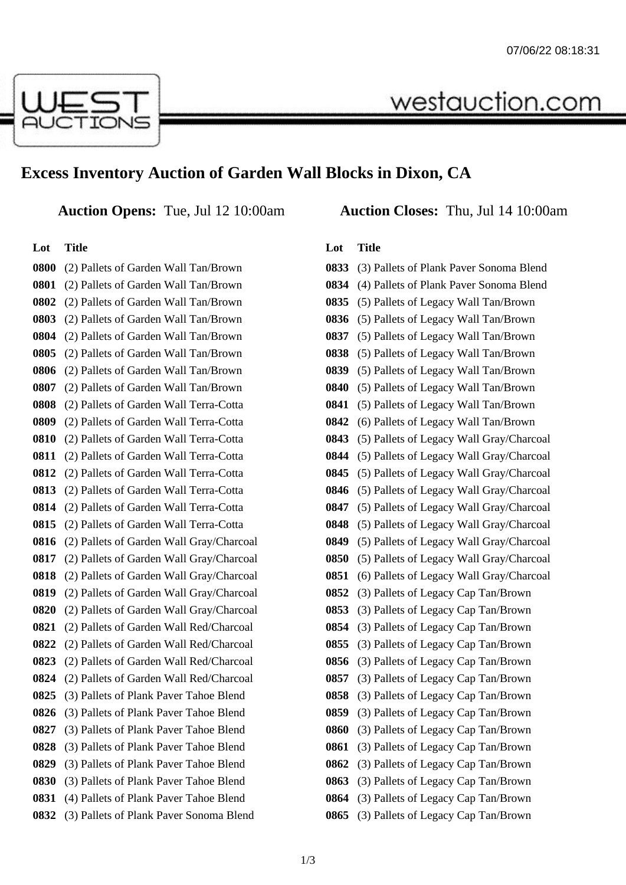

# **Excess Inventory Auction of Garden Wall Blocks in Dixon, CA**

**Auction Opens:** Tue, Jul 12 10:00am **Auction Closes:** Thu, Jul 14 10:00am

### **Lot Title**

 (2) Pallets of Garden Wall Tan/Brown (2) Pallets of Garden Wall Tan/Brown (2) Pallets of Garden Wall Tan/Brown (2) Pallets of Garden Wall Tan/Brown (2) Pallets of Garden Wall Tan/Brown (2) Pallets of Garden Wall Tan/Brown (2) Pallets of Garden Wall Tan/Brown (2) Pallets of Garden Wall Tan/Brown (2) Pallets of Garden Wall Terra-Cotta (2) Pallets of Garden Wall Terra-Cotta (2) Pallets of Garden Wall Terra-Cotta (2) Pallets of Garden Wall Terra-Cotta (2) Pallets of Garden Wall Terra-Cotta (2) Pallets of Garden Wall Terra-Cotta (2) Pallets of Garden Wall Terra-Cotta (2) Pallets of Garden Wall Terra-Cotta (2) Pallets of Garden Wall Gray/Charcoal (2) Pallets of Garden Wall Gray/Charcoal (2) Pallets of Garden Wall Gray/Charcoal (2) Pallets of Garden Wall Gray/Charcoal (2) Pallets of Garden Wall Gray/Charcoal (2) Pallets of Garden Wall Red/Charcoal (2) Pallets of Garden Wall Red/Charcoal (2) Pallets of Garden Wall Red/Charcoal (2) Pallets of Garden Wall Red/Charcoal (3) Pallets of Plank Paver Tahoe Blend (3) Pallets of Plank Paver Tahoe Blend (3) Pallets of Plank Paver Tahoe Blend (3) Pallets of Plank Paver Tahoe Blend (3) Pallets of Plank Paver Tahoe Blend (3) Pallets of Plank Paver Tahoe Blend (4) Pallets of Plank Paver Tahoe Blend (3) Pallets of Plank Paver Sonoma Blend

westauction.com

#### **Lot Title**

| 0833 | (3) Pallets of Plank Paver Sonoma Blend  |
|------|------------------------------------------|
| 0834 | (4) Pallets of Plank Paver Sonoma Blend  |
| 0835 | (5) Pallets of Legacy Wall Tan/Brown     |
| 0836 | (5) Pallets of Legacy Wall Tan/Brown     |
| 0837 | (5) Pallets of Legacy Wall Tan/Brown     |
| 0838 | (5) Pallets of Legacy Wall Tan/Brown     |
| 0839 | (5) Pallets of Legacy Wall Tan/Brown     |
| 0840 | (5) Pallets of Legacy Wall Tan/Brown     |
| 0841 | (5) Pallets of Legacy Wall Tan/Brown     |
| 0842 | (6) Pallets of Legacy Wall Tan/Brown     |
| 0843 | (5) Pallets of Legacy Wall Gray/Charcoal |
| 0844 | (5) Pallets of Legacy Wall Gray/Charcoal |
| 0845 | (5) Pallets of Legacy Wall Gray/Charcoal |
| 0846 | (5) Pallets of Legacy Wall Gray/Charcoal |
| 0847 | (5) Pallets of Legacy Wall Gray/Charcoal |
| 0848 | (5) Pallets of Legacy Wall Gray/Charcoal |
| 0849 | (5) Pallets of Legacy Wall Gray/Charcoal |
| 0850 | (5) Pallets of Legacy Wall Gray/Charcoal |
| 0851 | (6) Pallets of Legacy Wall Gray/Charcoal |
| 0852 | (3) Pallets of Legacy Cap Tan/Brown      |
| 0853 | (3) Pallets of Legacy Cap Tan/Brown      |
| 0854 | (3) Pallets of Legacy Cap Tan/Brown      |
| 0855 | (3) Pallets of Legacy Cap Tan/Brown      |
| 0856 | (3) Pallets of Legacy Cap Tan/Brown      |
| 0857 | (3) Pallets of Legacy Cap Tan/Brown      |
| 0858 | (3) Pallets of Legacy Cap Tan/Brown      |
| 0859 | (3) Pallets of Legacy Cap Tan/Brown      |
| 0860 | (3) Pallets of Legacy Cap Tan/Brown      |
| 0861 | (3) Pallets of Legacy Cap Tan/Brown      |
| 0862 | (3) Pallets of Legacy Cap Tan/Brown      |
| 0863 | (3) Pallets of Legacy Cap Tan/Brown      |
| 0864 | (3) Pallets of Legacy Cap Tan/Brown      |
| 0865 | (3) Pallets of Legacy Cap Tan/Brown      |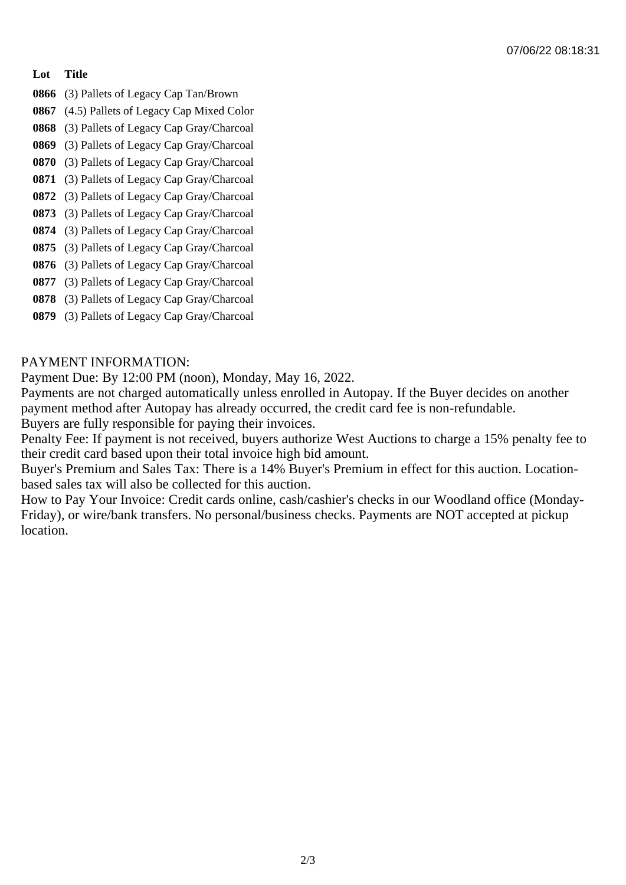### **Lot Title**

- **0866** (3) Pallets of Legacy Cap Tan/Brown
- **0867** (4.5) Pallets of Legacy Cap Mixed Color
- **0868** (3) Pallets of Legacy Cap Gray/Charcoal
- **0869** (3) Pallets of Legacy Cap Gray/Charcoal
- **0870** (3) Pallets of Legacy Cap Gray/Charcoal
- **0871** (3) Pallets of Legacy Cap Gray/Charcoal
- **0872** (3) Pallets of Legacy Cap Gray/Charcoal
- **0873** (3) Pallets of Legacy Cap Gray/Charcoal
- **0874** (3) Pallets of Legacy Cap Gray/Charcoal
- **0875** (3) Pallets of Legacy Cap Gray/Charcoal
- **0876** (3) Pallets of Legacy Cap Gray/Charcoal **0877** (3) Pallets of Legacy Cap Gray/Charcoal
- **0878** (3) Pallets of Legacy Cap Gray/Charcoal
- **0879** (3) Pallets of Legacy Cap Gray/Charcoal

## PAYMENT INFORMATION:

Payment Due: By 12:00 PM (noon), Monday, May 16, 2022.

Payments are not charged automatically unless enrolled in Autopay. If the Buyer decides on another payment method after Autopay has already occurred, the credit card fee is non-refundable. Buyers are fully responsible for paying their invoices.

Penalty Fee: If payment is not received, buyers authorize West Auctions to charge a 15% penalty fee to their credit card based upon their total invoice high bid amount.

Buyer's Premium and Sales Tax: There is a 14% Buyer's Premium in effect for this auction. Locationbased sales tax will also be collected for this auction.

How to Pay Your Invoice: Credit cards online, cash/cashier's checks in our Woodland office (Monday-Friday), or wire/bank transfers. No personal/business checks. Payments are NOT accepted at pickup location.